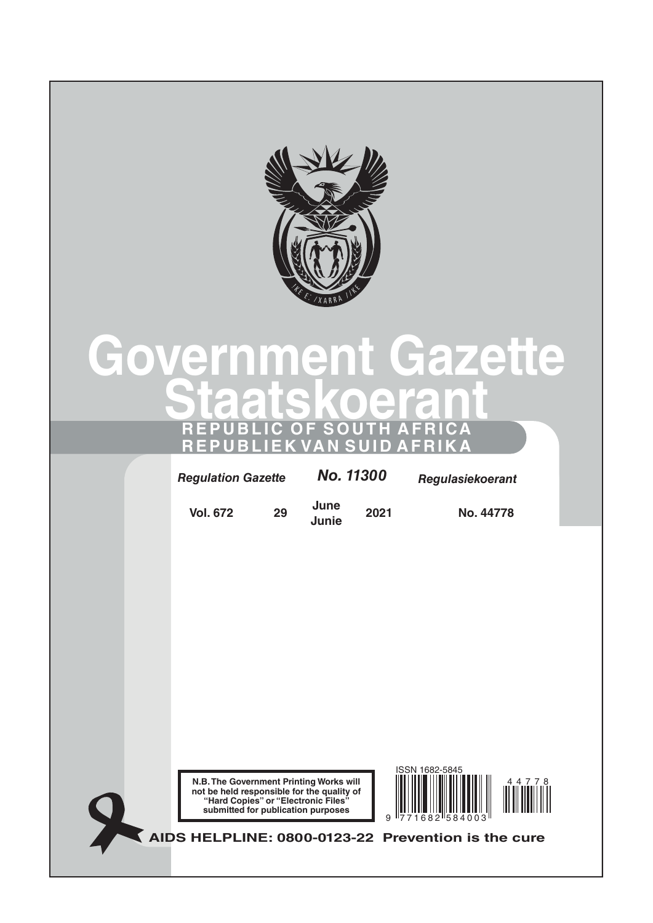

# **Government Gazette Staatskoerant REPUBLIC OF SOUTH AFRICA REPUBLIEK VAN SUID AFRIKA**

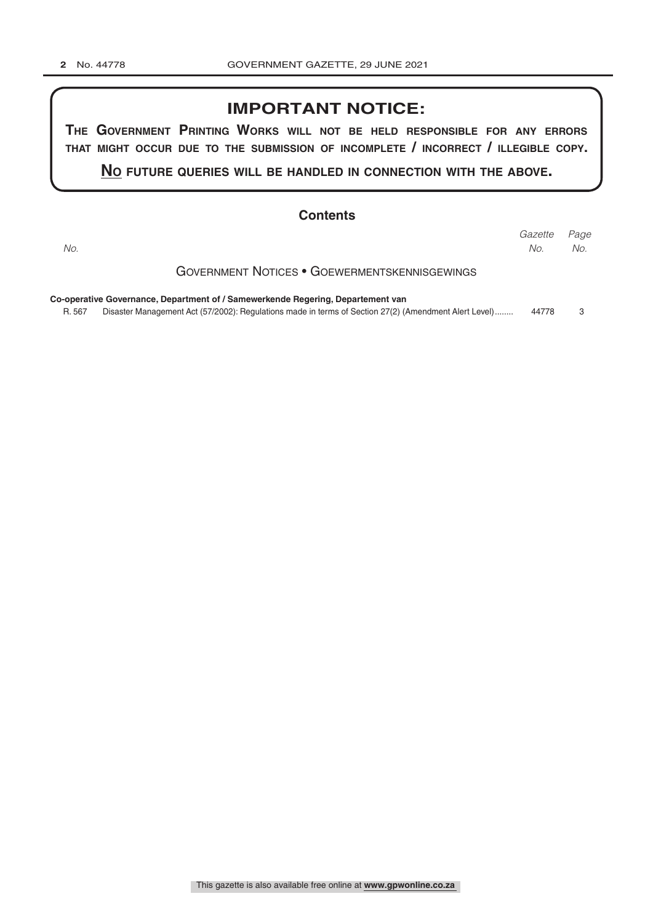## **IMPORTANT NOTICE:**

**The GovernmenT PrinTinG Works Will noT be held resPonsible for any errors ThaT miGhT occur due To The submission of incomPleTe / incorrecT / illeGible coPy.**

**no fuTure queries Will be handled in connecTion WiTh The above.**

## **Contents**

|        |                                                                                                       | Gazette | Page |
|--------|-------------------------------------------------------------------------------------------------------|---------|------|
| No.    |                                                                                                       | No.     | No.  |
|        | GOVERNMENT NOTICES • GOEWERMENTSKENNISGEWINGS                                                         |         |      |
|        | Co-operative Governance, Department of / Samewerkende Regering, Departement van                       |         |      |
| R. 567 | Disaster Management Act (57/2002): Regulations made in terms of Section 27(2) (Amendment Alert Level) | 44778   |      |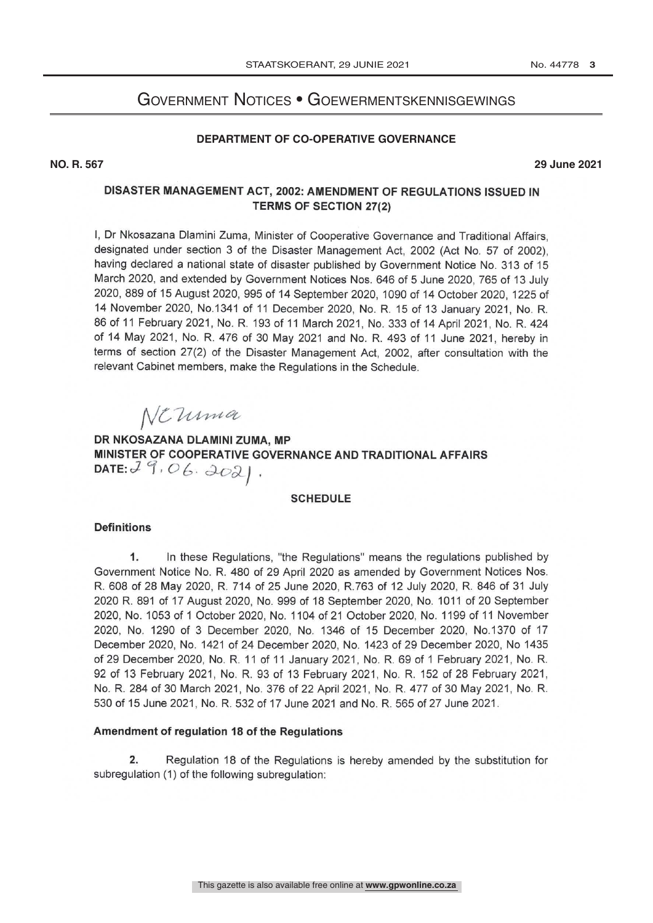# <span id="page-2-0"></span>Government Notices • Goewermentskennisgewings

#### **DEPARTMENT OF CO-OPERATIVE GOVERNANCE**

**NO. R. 567 29 June 2021**

### DISASTER MANAGEMENT ACT, 2002: AMENDMENT OF REGULATIONS ISSUED IN **TERMS OF SECTION 27(2)**

I, Dr Nkosazana Dlamini Zuma, Minister of Cooperative Governance and Traditional Affairs, designated under section 3 of the Disaster Management Act, 2002 (Act No. 57 of 2002), having declared a national state of disaster published by Government Notice No. 313 of 15 March 2020, and extended by Government Notices Nos. 646 of 5 June 2020, 765 of 13 July 2020, 889 of 15 August 2020, 995 of 14 September 2020, 1090 of 14 October 2020, 1225 of 14 November 2020, No.1341 of 11 December 2020, No. R. 15 of 13 January 2021, No. R. 86 of 11 February 2021, No. R. 193 of 11 March 2021, No. 333 of 14 April 2021, No. R. 424 of 14 May 2021, No. R. 476 of 30 May 2021 and No. R. 493 of 11 June 2021, hereby in terms of section 27(2) of the Disaster Management Act, 2002, after consultation with the relevant Cabinet members, make the Regulations in the Schedule.

NEuma

DR NKOSAZANA DLAMINI ZUMA, MP MINISTER OF COOPERATIVE GOVERNANCE AND TRADITIONAL AFFAIRS DATE:  $J9.06.002$ .

#### **SCHEDULE**

#### **Definitions**

1. In these Regulations, "the Regulations" means the regulations published by Government Notice No. R. 480 of 29 April 2020 as amended by Government Notices Nos. R. 608 of 28 May 2020, R. 714 of 25 June 2020, R.763 of 12 July 2020, R. 846 of 31 July 2020 R. 891 of 17 August 2020, No. 999 of 18 September 2020, No. 1011 of 20 September 2020, No. 1053 of 1 October 2020, No. 1104 of 21 October 2020, No. 1199 of 11 November 2020, No. 1290 of 3 December 2020, No. 1346 of 15 December 2020, No.1370 of 17 December 2020, No. 1421 of 24 December 2020, No. 1423 of 29 December 2020, No 1435 of 29 December 2020, No. R. 11 of 11 January 2021, No. R. 69 of 1 February 2021, No. R. 92 of 13 February 2021, No. R. 93 of 13 February 2021, No. R. 152 of 28 February 2021, No. R. 284 of 30 March 2021, No. 376 of 22 April 2021, No. R. 477 of 30 May 2021, No. R. 530 of 15 June 2021, No. R. 532 of 17 June 2021 and No. R. 565 of 27 June 2021.

#### Amendment of regulation 18 of the Regulations

 $2.$ Regulation 18 of the Regulations is hereby amended by the substitution for subregulation (1) of the following subregulation: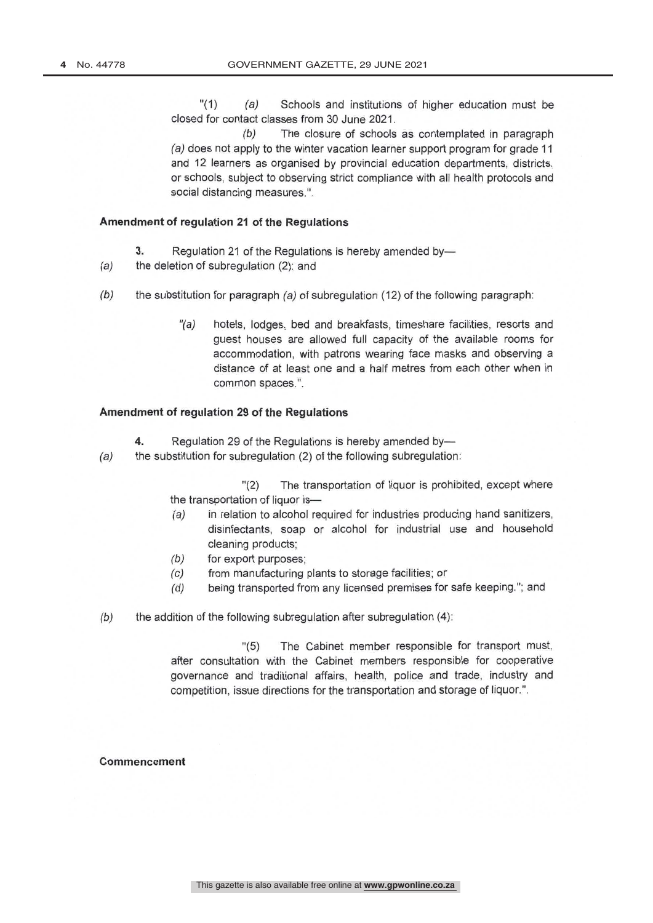$"(1)$  $(a)$ Schools and institutions of higher education must be closed for contact classes from 30 June 2021.

The closure of schools as contemplated in paragraph  $(h)$ (a) does not apply to the winter vacation learner support program for grade 11 and 12 learners as organised by provincial education departments, districts, or schools, subject to observing strict compliance with all health protocols and social distancing measures.".

#### Amendment of regulation 21 of the Regulations

- $3.$ Regulation 21 of the Regulations is hereby amended by-
- $(a)$ the deletion of subregulation (2); and
- $(b)$ the substitution for paragraph  $(a)$  of subregulation  $(12)$  of the following paragraph:
	- $''(a)$ hotels, lodges, bed and breakfasts, timeshare facilities, resorts and guest houses are allowed full capacity of the available rooms for accommodation, with patrons wearing face masks and observing a distance of at least one and a half metres from each other when in common spaces.".

#### Amendment of regulation 29 of the Regulations

- Regulation 29 of the Regulations is hereby amended by-4.
- $(a)$ the substitution for subregulation (2) of the following subregulation:

 $"(2)$ The transportation of liquor is prohibited, except where the transportation of liquor is-

- in relation to alcohol required for industries producing hand sanitizers,  $(a)$ disinfectants, soap or alcohol for industrial use and household cleaning products;
- $(b)$ for export purposes:
- $(c)$ from manufacturing plants to storage facilities; or
- being transported from any licensed premises for safe keeping."; and  $(d)$
- $(b)$ the addition of the following subregulation after subregulation (4):

 $"(5)$ The Cabinet member responsible for transport must. after consultation with the Cabinet members responsible for cooperative governance and traditional affairs, health, police and trade, industry and competition, issue directions for the transportation and storage of liquor.".

Commencement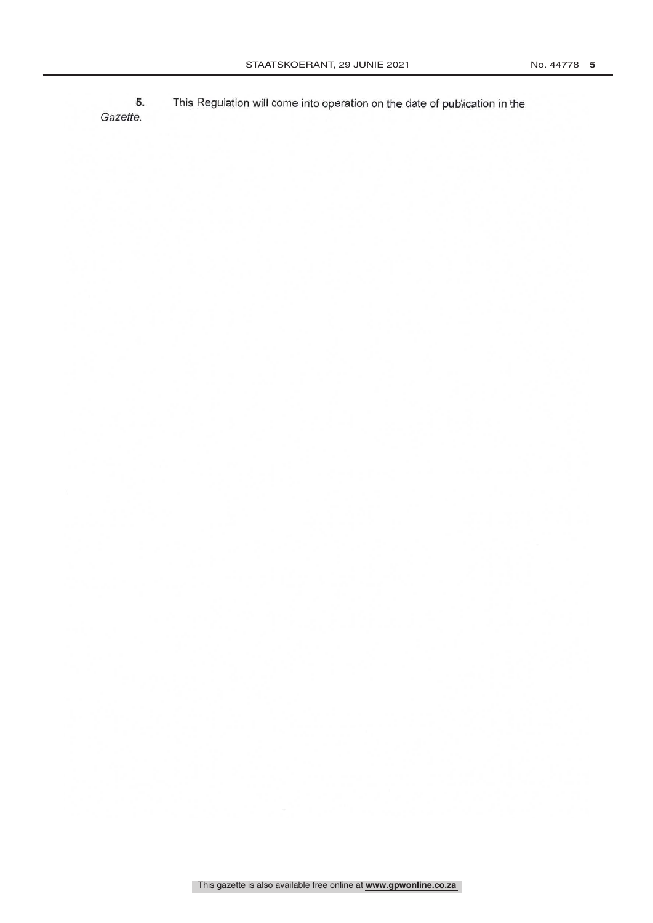5. This Regulation will come into operation on the date of publication in the Gazette.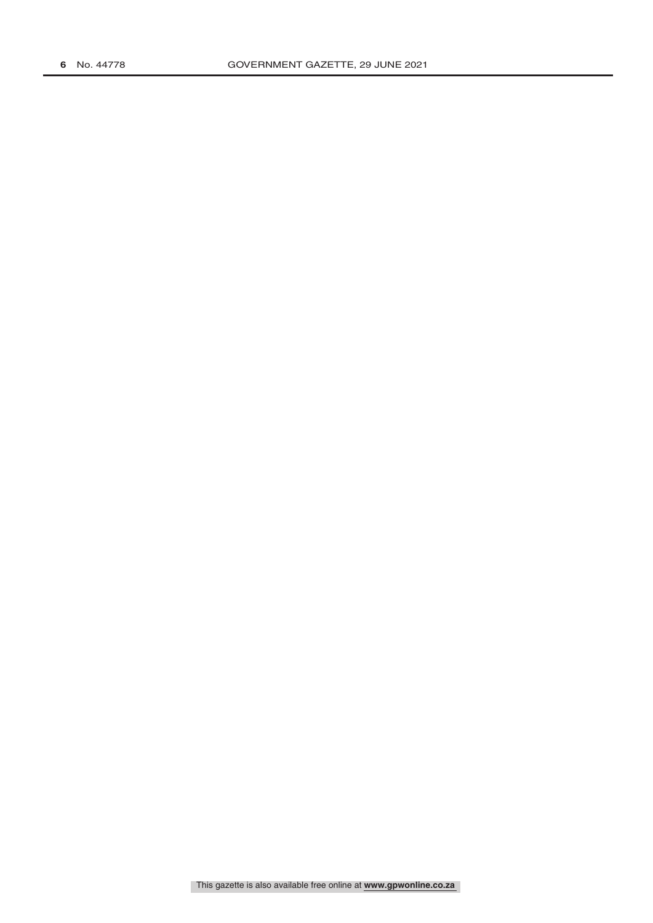This gazette is also available free online at **www.gpwonline.co.za**